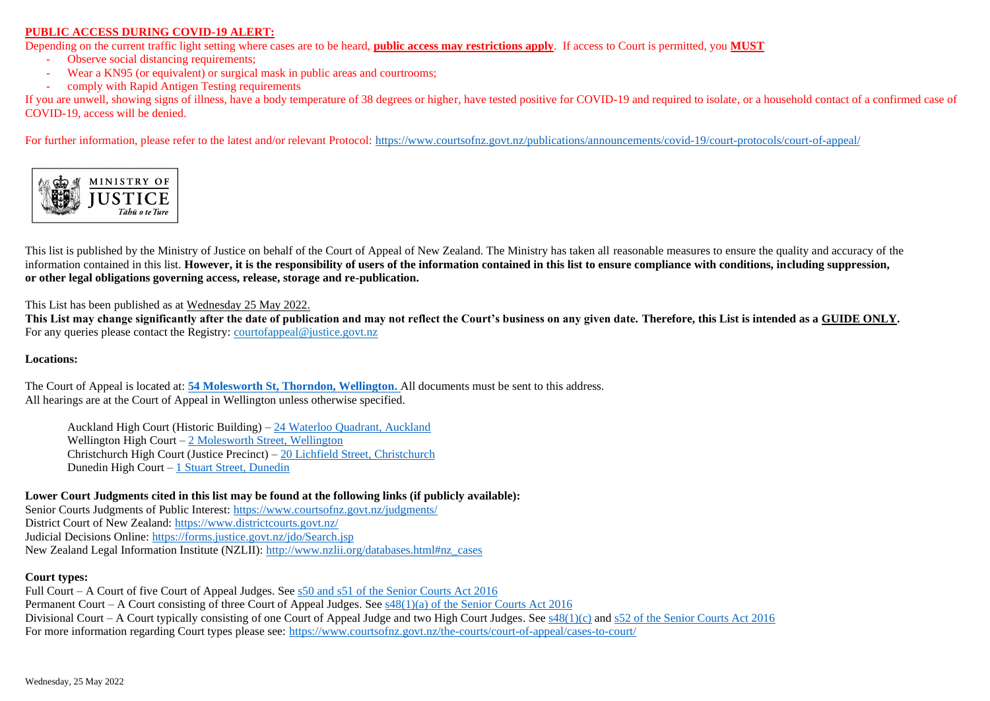## **PUBLIC ACCESS DURING COVID-19 ALERT:**

Depending on the current traffic light setting where cases are to be heard, **public access may restrictions apply**. If access to Court is permitted, you **MUST**

- Observe social distancing requirements:
- Wear a KN95 (or equivalent) or surgical mask in public areas and courtrooms;
- comply with Rapid Antigen Testing requirements

If you are unwell, showing signs of illness, have a body temperature of 38 degrees or higher, have tested positive for COVID-19 and required to isolate, or a household contact of a confirmed case of COVID-19, access will be denied.

For further information, please refer to the latest and/or relevant Protocol: https://www.courtsofnz.govt.nz/publications/announcements/covid-19/court-protocols/court-of-appeal/



This list is published by the Ministry of Justice on behalf of the Court of Appeal of New Zealand. The Ministry has taken all reasonable measures to ensure the quality and accuracy of the information contained in this list. **However, it is the responsibility of users of the information contained in this list to ensure compliance with conditions, including suppression, or other legal obligations governing access, release, storage and re-publication.**

This List has been published as at Wednesday 25 May 2022.

**This List may change significantly after the date of publication and may not reflect the Court's business on any given date. Therefore, this List is intended as a GUIDE ONLY.** For any queries please contact the Registry[: courtofappeal@justice.govt.nz](mailto:courtofappeal@justice.govt.nz)

## **Locations:**

The Court of Appeal is located at: **[54 Molesworth St, Thorndon, Wellington.](https://www.google.co.nz/maps/place/Court+of+Appeal/@-41.2771939,174.7757623,17z/data=!3m1!4b1!4m5!3m4!1s0x6d38ae28c5772b75:0x5f31be133ca9eedd!8m2!3d-41.277198!4d174.777951)** All documents must be sent to this address. All hearings are at the Court of Appeal in Wellington unless otherwise specified.

Auckland High Court (Historic Building) – [24 Waterloo Quadrant, Auckland](https://www.google.co.nz/maps/place/Auckland+High+Court/@-36.8494994,174.7698438,17z/data=!3m1!4b1!4m5!3m4!1s0x6d0d47fd5cc3f035:0x8f1f9a931362fb87!8m2!3d-36.8495037!4d174.7720325) Wellington High Court – [2 Molesworth Street, Wellington](https://www.google.co.nz/maps/place/Wellington+High+Court/@-41.2780791,174.7761337,17z/data=!3m1!4b1!4m5!3m4!1s0x6d38ae2bfdc73707:0x3aac7a7da4af07d5!8m2!3d-41.2780832!4d174.7783224) Christchurch High Court (Justice Precinct) – [20 Lichfield Street, Christchurch](https://www.google.co.nz/maps/search/christchurch+high+court/@-43.5345181,172.6335657,18z/data=!3m1!4b1) Dunedin High Court – [1 Stuart Street, Dunedin](https://www.google.co.nz/maps/place/Dunedin+High+And+District+Court/@-45.8753504,170.505182,17z/data=!3m1!4b1!4m5!3m4!1s0xa82eac1249878df5:0xd7fcba2477b40dc4!8m2!3d-45.8753542!4d170.5073707)

**Lower Court Judgments cited in this list may be found at the following links (if publicly available):**

Senior Courts Judgments of Public Interest:<https://www.courtsofnz.govt.nz/judgments/> District Court of New Zealand: <https://www.districtcourts.govt.nz/> Judicial Decisions Online:<https://forms.justice.govt.nz/jdo/Search.jsp> New Zealand Legal Information Institute (NZLII): [http://www.nzlii.org/databases.html#nz\\_cases](http://www.nzlii.org/databases.html#nz_cases)

## **Court types:**

Full Court – A Court of five Court of Appeal Judges. See [s50 and s51 of the Senior Courts Act 2016](http://www.legislation.govt.nz/act/public/2016/0048/latest/whole.html#DLM5759365) Permanent Court – A Court consisting of three Court of Appeal Judges. See  $s48(1)(a)$  of the Senior Courts Act 2016 Divisional Court – A Court typically consisting of one Court of Appeal Judge and two High Court Judges. See  $s48(1)(c)$  and  $s52$  of the Senior Courts Act 2016 For more information regarding Court types please see[: https://www.courtsofnz.govt.nz/the-courts/court-of-appeal/cases-to-court/](https://www.courtsofnz.govt.nz/the-courts/court-of-appeal/cases-to-court/)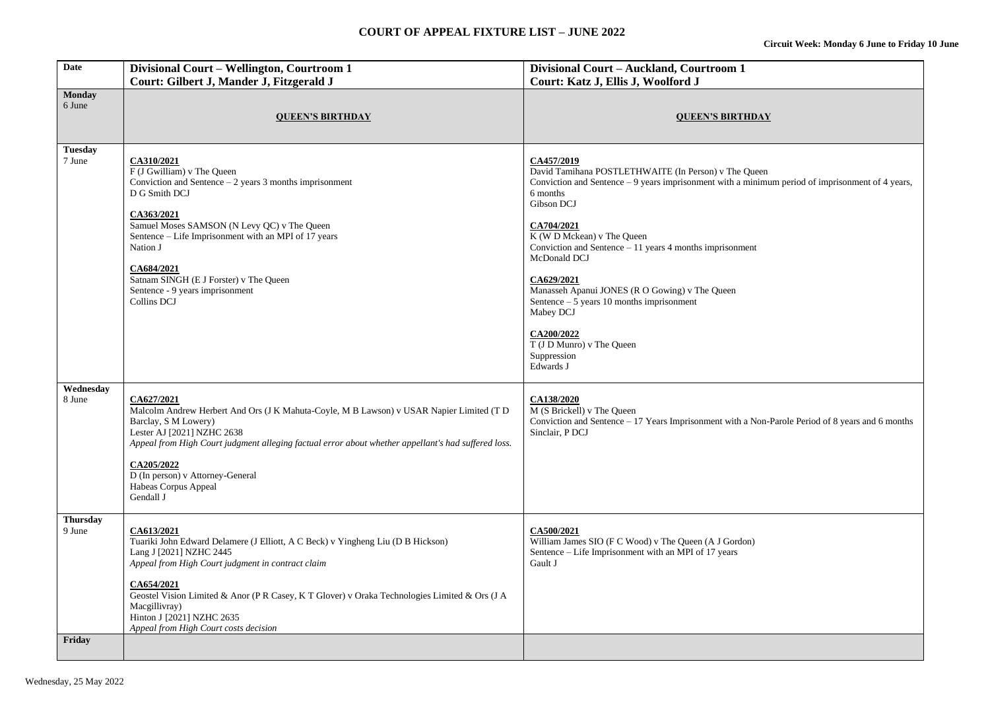| <b>Date</b>                         | Divisional Court - Wellington, Courtroom 1<br>Court: Gilbert J, Mander J, Fitzgerald J                                                                                                                                                                                                                                                                                              | Divisional Court - Auckland, Courtroom 1<br>Court: Katz J, Ellis J, Woolford J                                                                                                                                                                                                                                                                                                                                                                                                                                              |
|-------------------------------------|-------------------------------------------------------------------------------------------------------------------------------------------------------------------------------------------------------------------------------------------------------------------------------------------------------------------------------------------------------------------------------------|-----------------------------------------------------------------------------------------------------------------------------------------------------------------------------------------------------------------------------------------------------------------------------------------------------------------------------------------------------------------------------------------------------------------------------------------------------------------------------------------------------------------------------|
| <b>Monday</b><br>6 June             | <b>QUEEN'S BIRTHDAY</b>                                                                                                                                                                                                                                                                                                                                                             | <b>QUEEN'S BIRTHDAY</b>                                                                                                                                                                                                                                                                                                                                                                                                                                                                                                     |
| <b>Tuesday</b><br>7 June            | CA310/2021<br>F (J Gwilliam) v The Queen<br>Conviction and Sentence $-2$ years 3 months imprisonment<br>D G Smith DCJ<br>CA363/2021<br>Samuel Moses SAMSON (N Levy QC) v The Queen<br>Sentence – Life Imprisonment with an MPI of 17 years<br>Nation J<br>CA684/2021<br>Satnam SINGH (E J Forster) v The Queen<br>Sentence - 9 years imprisonment<br>Collins DCJ                    | CA457/2019<br>David Tamihana POSTLETHWAITE (In Person) v The Queen<br>Conviction and Sentence - 9 years imprisonment with a minimum period of imprisonment of 4 years,<br>6 months<br>Gibson DCJ<br>CA704/2021<br>K (W D Mckean) v The Queen<br>Conviction and Sentence $-11$ years 4 months imprisonment<br>McDonald DCJ<br>CA629/2021<br>Manasseh Apanui JONES (R O Gowing) v The Queen<br>Sentence $-5$ years 10 months imprisonment<br>Mabey DCJ<br>CA200/2022<br>T (J D Munro) v The Queen<br>Suppression<br>Edwards J |
| Wednesday<br>8 June                 | CA627/2021<br>Malcolm Andrew Herbert And Ors (J K Mahuta-Coyle, M B Lawson) v USAR Napier Limited (T D<br>Barclay, S M Lowery)<br>Lester AJ [2021] NZHC 2638<br>Appeal from High Court judgment alleging factual error about whether appellant's had suffered loss.<br>CA205/2022<br>D (In person) v Attorney-General<br>Habeas Corpus Appeal<br>Gendall J                          | CA138/2020<br>M (S Brickell) v The Queen<br>Conviction and Sentence $-17$ Years Imprisonment with a Non-Parole Period of 8 years and 6 months<br>Sinclair, P DCJ                                                                                                                                                                                                                                                                                                                                                            |
| <b>Thursday</b><br>9 June<br>Friday | CA613/2021<br>Tuariki John Edward Delamere (J Elliott, A C Beck) v Yingheng Liu (D B Hickson)<br>Lang J [2021] NZHC 2445<br>Appeal from High Court judgment in contract claim<br>CA654/2021<br>Geostel Vision Limited & Anor (P R Casey, K T Glover) v Oraka Technologies Limited & Ors (J A<br>Macgillivray)<br>Hinton J [2021] NZHC 2635<br>Appeal from High Court costs decision | CA500/2021<br>William James SIO (F C Wood) v The Queen (A J Gordon)<br>Sentence - Life Imprisonment with an MPI of 17 years<br>Gault J                                                                                                                                                                                                                                                                                                                                                                                      |
|                                     |                                                                                                                                                                                                                                                                                                                                                                                     |                                                                                                                                                                                                                                                                                                                                                                                                                                                                                                                             |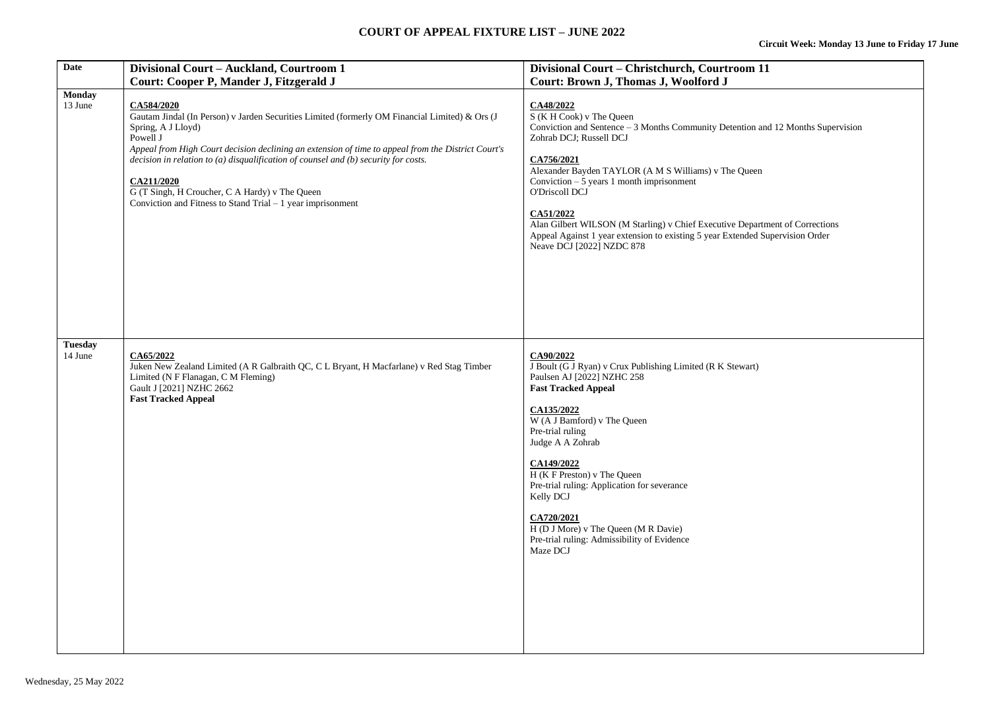## **COURT OF APPEAL FIXTURE LIST – JUNE 2022**

| Date                      | Divisional Court - Auckland, Courtroom 1<br>Court: Cooper P, Mander J, Fitzgerald J                                                                                                                                                                                                                                                                                                                                                                                         | Divisional Court - Christchurch, Courtroom 11<br>Court: Brown J, Thomas J, Woolford J                                                                                                                                                                                                                                                                                                                                                                                                                   |
|---------------------------|-----------------------------------------------------------------------------------------------------------------------------------------------------------------------------------------------------------------------------------------------------------------------------------------------------------------------------------------------------------------------------------------------------------------------------------------------------------------------------|---------------------------------------------------------------------------------------------------------------------------------------------------------------------------------------------------------------------------------------------------------------------------------------------------------------------------------------------------------------------------------------------------------------------------------------------------------------------------------------------------------|
| <b>Monday</b><br>13 June  | CA584/2020<br>Gautam Jindal (In Person) v Jarden Securities Limited (formerly OM Financial Limited) & Ors (J<br>Spring, A J Lloyd)<br>Powell J<br>Appeal from High Court decision declining an extension of time to appeal from the District Court's<br>decision in relation to (a) disqualification of counsel and (b) security for costs.<br>CA211/2020<br>G (T Singh, H Croucher, C A Hardy) v The Queen<br>Conviction and Fitness to Stand Trial $-1$ year imprisonment | CA48/2022<br>$S(K H Cook)$ v The Queen<br>Conviction and Sentence $-3$ Months Community Detention and 12 Months Supervision<br>Zohrab DCJ; Russell DCJ<br>CA756/2021<br>Alexander Bayden TAYLOR (A M S Williams) v The Queen<br>Conviction $-5$ years 1 month imprisonment<br>O'Driscoll DCJ<br>CA51/2022<br>Alan Gilbert WILSON (M Starling) v Chief Executive Department of Corrections<br>Appeal Against 1 year extension to existing 5 year Extended Supervision Order<br>Neave DCJ [2022] NZDC 878 |
| <b>Tuesday</b><br>14 June | CA65/2022<br>Juken New Zealand Limited (A R Galbraith QC, C L Bryant, H Macfarlane) v Red Stag Timber<br>Limited (N F Flanagan, C M Fleming)<br>Gault J [2021] NZHC 2662<br><b>Fast Tracked Appeal</b>                                                                                                                                                                                                                                                                      | CA90/2022<br>J Boult (G J Ryan) v Crux Publishing Limited (R K Stewart)<br>Paulsen AJ [2022] NZHC 258<br><b>Fast Tracked Appeal</b><br>CA135/2022<br>W (A J Bamford) v The Queen<br>Pre-trial ruling<br>Judge A A Zohrab<br>CA149/2022<br>H (K F Preston) v The Queen<br>Pre-trial ruling: Application for severance<br>Kelly DCJ<br>CA720/2021<br>H (D J More) v The Queen (M R Davie)<br>Pre-trial ruling: Admissibility of Evidence<br>Maze DCJ                                                      |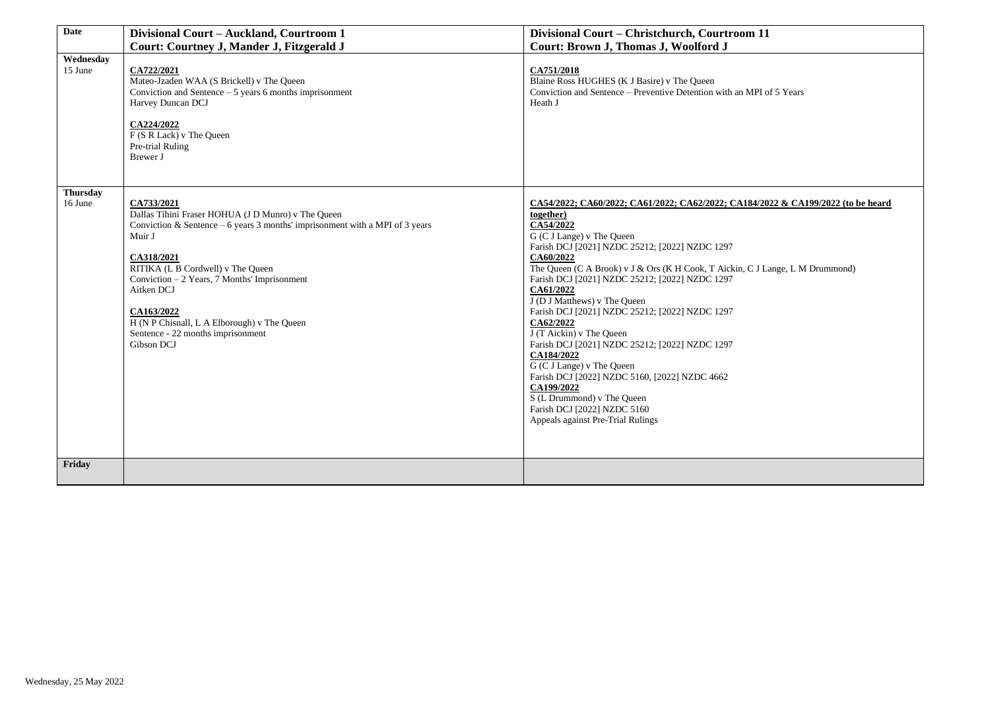| <b>Date</b>                | Divisional Court - Auckland, Courtroom 1                                                                                                                                                                                                                                                                                                                                                    | Divisional Court - Christchurch, Courtroom 11                                                                                                                                                                                                                                                                                                                                                                                                                                                                                                                                                                                                                                                                                                   |
|----------------------------|---------------------------------------------------------------------------------------------------------------------------------------------------------------------------------------------------------------------------------------------------------------------------------------------------------------------------------------------------------------------------------------------|-------------------------------------------------------------------------------------------------------------------------------------------------------------------------------------------------------------------------------------------------------------------------------------------------------------------------------------------------------------------------------------------------------------------------------------------------------------------------------------------------------------------------------------------------------------------------------------------------------------------------------------------------------------------------------------------------------------------------------------------------|
|                            | Court: Courtney J, Mander J, Fitzgerald J                                                                                                                                                                                                                                                                                                                                                   | Court: Brown J, Thomas J, Woolford J                                                                                                                                                                                                                                                                                                                                                                                                                                                                                                                                                                                                                                                                                                            |
| Wednesday<br>15 June       | CA722/2021<br>Mateo-Jzaden WAA (S Brickell) v The Queen<br>Conviction and Sentence $-5$ years 6 months imprisonment<br>Harvey Duncan DCJ<br>CA224/2022<br>F (S R Lack) v The Queen<br>Pre-trial Ruling<br>Brewer J                                                                                                                                                                          | CA751/2018<br>Blaine Ross HUGHES (K J Basire) v The Queen<br>Conviction and Sentence - Preventive Detention with an MPI of 5 Years<br>Heath J                                                                                                                                                                                                                                                                                                                                                                                                                                                                                                                                                                                                   |
| <b>Thursday</b><br>16 June | CA733/2021<br>Dallas Tihini Fraser HOHUA (J D Munro) v The Queen<br>Conviction & Sentence – 6 years 3 months' imprisonment with a MPI of 3 years<br>Muir J<br>CA318/2021<br>RITIKA (L B Cordwell) v The Queen<br>Conviction - 2 Years, 7 Months' Imprisonment<br>Aitken DCJ<br>CA163/2022<br>H (N P Chisnall, L A Elborough) v The Queen<br>Sentence - 22 months imprisonment<br>Gibson DCJ | CA54/2022; CA60/2022; CA61/2022; CA62/2022; CA184/2022 & CA199/2022 (to be heard<br>together)<br>CA54/2022<br>G (C J Lange) v The Queen<br>Farish DCJ [2021] NZDC 25212; [2022] NZDC 1297<br>CA60/2022<br>The Queen (C A Brook) v J & Ors (K H Cook, T Aickin, C J Lange, L M Drummond)<br>Farish DCJ [2021] NZDC 25212; [2022] NZDC 1297<br>CA61/2022<br>J (D J Matthews) v The Queen<br>Farish DCJ [2021] NZDC 25212; [2022] NZDC 1297<br>CA62/2022<br>J (T Aickin) v The Queen<br>Farish DCJ [2021] NZDC 25212; [2022] NZDC 1297<br>CA184/2022<br>G (C J Lange) v The Queen<br>Farish DCJ [2022] NZDC 5160, [2022] NZDC 4662<br>CA199/2022<br>S (L Drummond) v The Queen<br>Farish DCJ [2022] NZDC 5160<br>Appeals against Pre-Trial Rulings |
| Friday                     |                                                                                                                                                                                                                                                                                                                                                                                             |                                                                                                                                                                                                                                                                                                                                                                                                                                                                                                                                                                                                                                                                                                                                                 |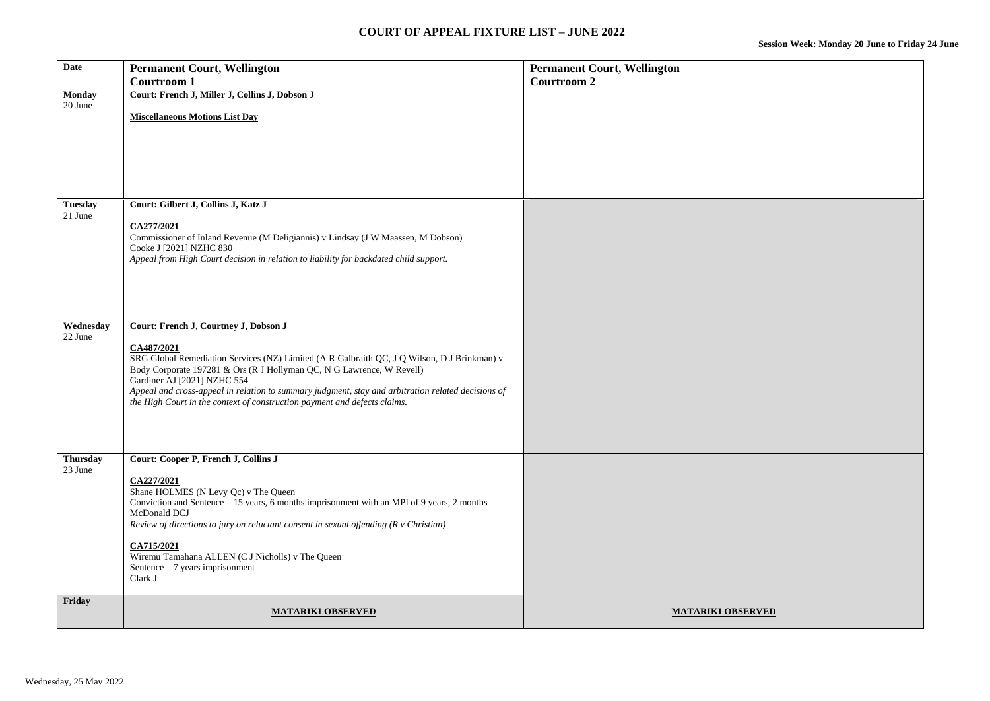| <b>Date</b>                | <b>Permanent Court, Wellington</b><br><b>Courtroom 1</b>                                                                                                                                                                                                                                                                                                                                                                                      | <b>Permanent Court, Wellington</b><br><b>Courtroom 2</b> |
|----------------------------|-----------------------------------------------------------------------------------------------------------------------------------------------------------------------------------------------------------------------------------------------------------------------------------------------------------------------------------------------------------------------------------------------------------------------------------------------|----------------------------------------------------------|
| <b>Monday</b><br>20 June   | Court: French J, Miller J, Collins J, Dobson J<br><b>Miscellaneous Motions List Day</b>                                                                                                                                                                                                                                                                                                                                                       |                                                          |
| <b>Tuesday</b><br>21 June  | Court: Gilbert J, Collins J, Katz J<br>CA277/2021<br>Commissioner of Inland Revenue (M Deligiannis) v Lindsay (J W Maassen, M Dobson)<br>Cooke J [2021] NZHC 830<br>Appeal from High Court decision in relation to liability for backdated child support.                                                                                                                                                                                     |                                                          |
| Wednesday<br>22 June       | Court: French J, Courtney J, Dobson J<br>CA487/2021<br>SRG Global Remediation Services (NZ) Limited (A R Galbraith QC, J Q Wilson, D J Brinkman) v<br>Body Corporate 197281 & Ors (R J Hollyman QC, N G Lawrence, W Revell)<br>Gardiner AJ [2021] NZHC 554<br>Appeal and cross-appeal in relation to summary judgment, stay and arbitration related decisions of<br>the High Court in the context of construction payment and defects claims. |                                                          |
| <b>Thursday</b><br>23 June | Court: Cooper P, French J, Collins J<br>CA227/2021<br>Shane HOLMES (N Levy Qc) v The Queen<br>Conviction and Sentence – 15 years, 6 months imprisonment with an MPI of 9 years, 2 months<br>McDonald DCJ<br>Review of directions to jury on reluctant consent in sexual offending $(R \vee Christian)$<br>CA715/2021<br>Wiremu Tamahana ALLEN (C J Nicholls) v The Queen<br>Sentence - 7 years imprisonment<br>Clark J                        |                                                          |
| Friday                     | <b>MATARIKI OBSERVED</b>                                                                                                                                                                                                                                                                                                                                                                                                                      | <b>MATARIKI OBSERVED</b>                                 |